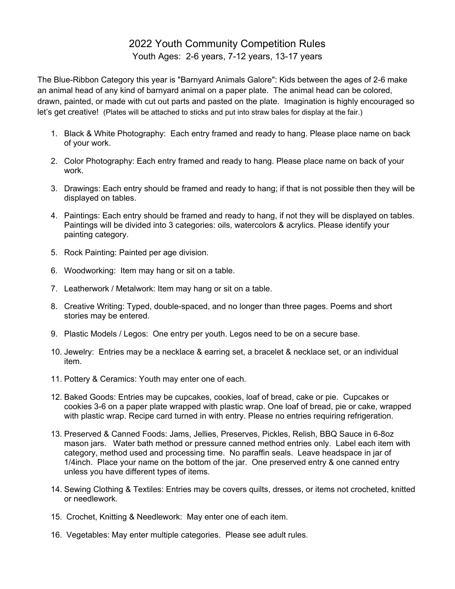## 2022 Youth Community Competition Rules Youth Ages: 2-6 years, 7-12 years, 13-17 years

The Blue-Ribbon Category this year is "Barnyard Animals Galore": Kids between the ages of 2-6 make an animal head of any kind of barnyard animal on a paper plate. The animal head can be colored, drawn, painted, or made with cut out parts and pasted on the plate. Imagination is highly encouraged so let's get creative! (Plates will be attached to sticks and put into straw bales for display at the fair.)

- 1. Black & White Photography: Each entry framed and ready to hang. Please place name on back of your work.
- 2. Color Photography: Each entry framed and ready to hang. Please place name on back of your work.
- 3. Drawings: Each entry should be framed and ready to hang; if that is not possible then they will be displayed on tables.
- 4. Paintings: Each entry should be framed and ready to hang, if not they will be displayed on tables. Paintings will be divided into 3 categories: oils, watercolors & acrylics. Please identify your painting category.
- 5. Rock Painting: Painted per age division.
- 6. Woodworking: Item may hang or sit on a table.
- 7. Leatherwork / Metalwork: Item may hang or sit on a table.
- 8. Creative Writing: Typed, double-spaced, and no longer than three pages. Poems and short stories may be entered.
- 9. Plastic Models / Legos: One entry per youth. Legos need to be on a secure base.
- 10. Jewelry: Entries may be a necklace & earring set, a bracelet & necklace set, or an individual item.
- 11. Pottery & Ceramics: Youth may enter one of each.
- 12. Baked Goods: Entries may be cupcakes, cookies, loaf of bread, cake or pie. Cupcakes or cookies 3-6 on a paper plate wrapped with plastic wrap. One loaf of bread, pie or cake, wrapped with plastic wrap. Recipe card turned in with entry. Please no entries requiring refrigeration.
- 13. Preserved & Canned Foods: Jams, Jellies, Preserves, Pickles, Relish, BBQ Sauce in 6-8oz mason jars. Water bath method or pressure canned method entries only. Label each item with category, method used and processing time. No paraffin seals. Leave headspace in jar of 1/4inch. Place your name on the bottom of the jar. One preserved entry & one canned entry unless you have different types of items.
- 14. Sewing Clothing & Textiles: Entries may be covers quilts, dresses, or items not crocheted, knitted or needlework.
- 15. Crochet, Knitting & Needlework: May enter one of each item.
- 16. Vegetables: May enter multiple categories. Please see adult rules.